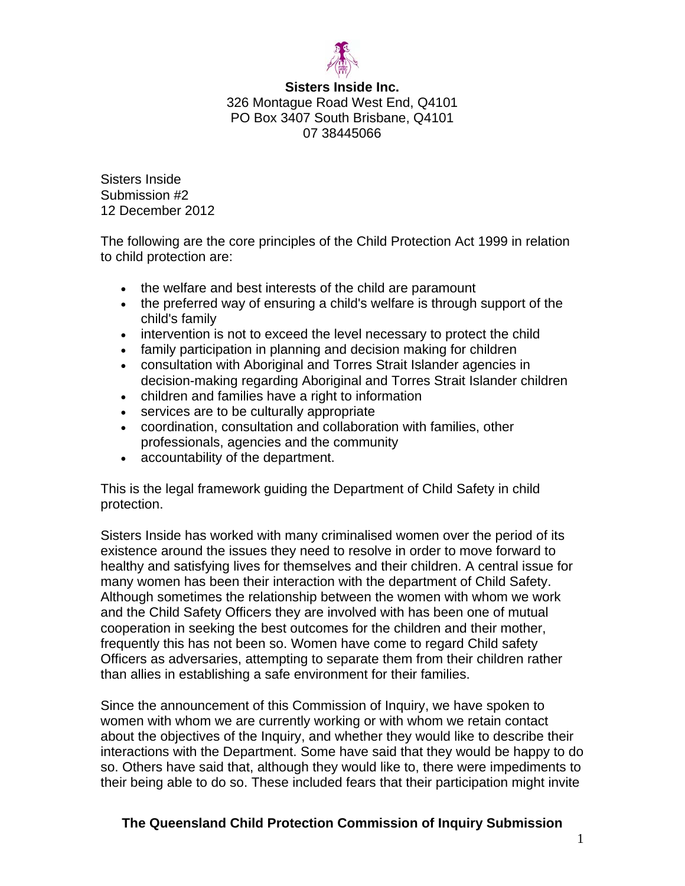

#### **Sisters Inside Inc.**  326 Montague Road West End, Q4101 PO Box 3407 South Brisbane, Q4101

07 38445066

Sisters Inside Submission #2 12 December 2012

The following are the core principles of the Child Protection Act 1999 in relation to child protection are:

- the welfare and best interests of the child are paramount
- the preferred way of ensuring a child's welfare is through support of the child's family
- intervention is not to exceed the level necessary to protect the child
- family participation in planning and decision making for children
- consultation with Aboriginal and Torres Strait Islander agencies in decision-making regarding Aboriginal and Torres Strait Islander children
- children and families have a right to information
- services are to be culturally appropriate
- coordination, consultation and collaboration with families, other professionals, agencies and the community
- accountability of the department.

This is the legal framework guiding the Department of Child Safety in child protection.

Sisters Inside has worked with many criminalised women over the period of its existence around the issues they need to resolve in order to move forward to healthy and satisfying lives for themselves and their children. A central issue for many women has been their interaction with the department of Child Safety. Although sometimes the relationship between the women with whom we work and the Child Safety Officers they are involved with has been one of mutual cooperation in seeking the best outcomes for the children and their mother, frequently this has not been so. Women have come to regard Child safety Officers as adversaries, attempting to separate them from their children rather than allies in establishing a safe environment for their families.

Since the announcement of this Commission of Inquiry, we have spoken to women with whom we are currently working or with whom we retain contact about the objectives of the Inquiry, and whether they would like to describe their interactions with the Department. Some have said that they would be happy to do so. Others have said that, although they would like to, there were impediments to their being able to do so. These included fears that their participation might invite

# **The Queensland Child Protection Commission of Inquiry Submission**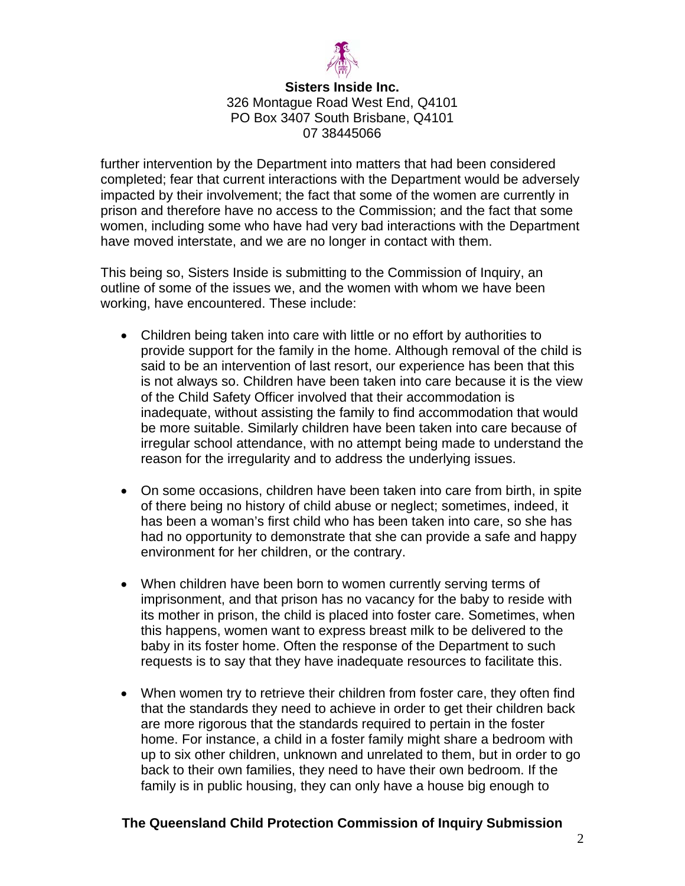

### **Sisters Inside Inc.**  326 Montague Road West End, Q4101 PO Box 3407 South Brisbane, Q4101 07 38445066

further intervention by the Department into matters that had been considered completed; fear that current interactions with the Department would be adversely impacted by their involvement; the fact that some of the women are currently in prison and therefore have no access to the Commission; and the fact that some women, including some who have had very bad interactions with the Department have moved interstate, and we are no longer in contact with them.

This being so, Sisters Inside is submitting to the Commission of Inquiry, an outline of some of the issues we, and the women with whom we have been working, have encountered. These include:

- Children being taken into care with little or no effort by authorities to provide support for the family in the home. Although removal of the child is said to be an intervention of last resort, our experience has been that this is not always so. Children have been taken into care because it is the view of the Child Safety Officer involved that their accommodation is inadequate, without assisting the family to find accommodation that would be more suitable. Similarly children have been taken into care because of irregular school attendance, with no attempt being made to understand the reason for the irregularity and to address the underlying issues.
- On some occasions, children have been taken into care from birth, in spite of there being no history of child abuse or neglect; sometimes, indeed, it has been a woman's first child who has been taken into care, so she has had no opportunity to demonstrate that she can provide a safe and happy environment for her children, or the contrary.
- When children have been born to women currently serving terms of imprisonment, and that prison has no vacancy for the baby to reside with its mother in prison, the child is placed into foster care. Sometimes, when this happens, women want to express breast milk to be delivered to the baby in its foster home. Often the response of the Department to such requests is to say that they have inadequate resources to facilitate this.
- When women try to retrieve their children from foster care, they often find that the standards they need to achieve in order to get their children back are more rigorous that the standards required to pertain in the foster home. For instance, a child in a foster family might share a bedroom with up to six other children, unknown and unrelated to them, but in order to go back to their own families, they need to have their own bedroom. If the family is in public housing, they can only have a house big enough to

# **The Queensland Child Protection Commission of Inquiry Submission**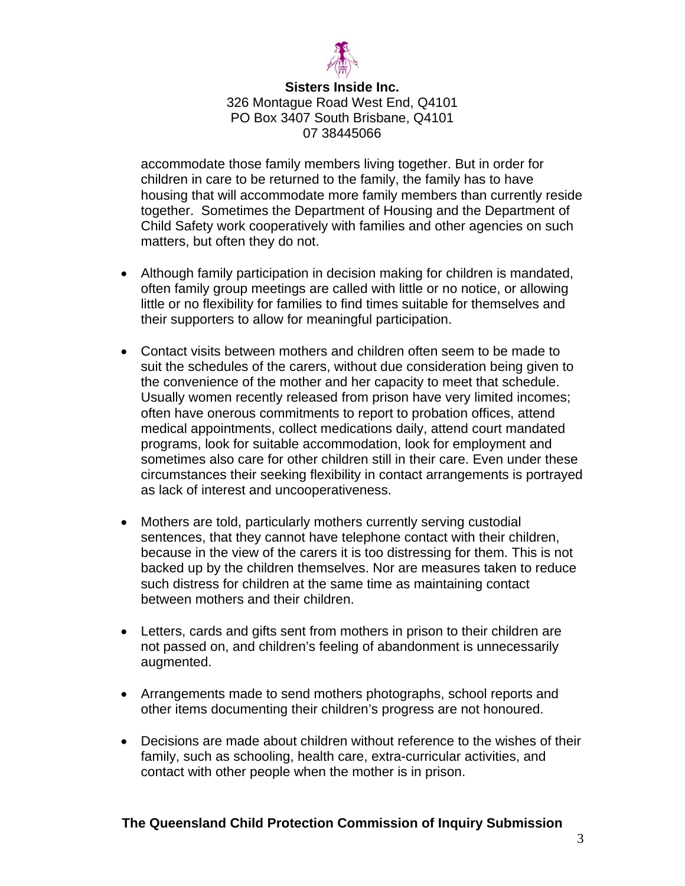

### **Sisters Inside Inc.**  326 Montague Road West End, Q4101 PO Box 3407 South Brisbane, Q4101 07 38445066

accommodate those family members living together. But in order for children in care to be returned to the family, the family has to have housing that will accommodate more family members than currently reside together. Sometimes the Department of Housing and the Department of Child Safety work cooperatively with families and other agencies on such matters, but often they do not.

- Although family participation in decision making for children is mandated, often family group meetings are called with little or no notice, or allowing little or no flexibility for families to find times suitable for themselves and their supporters to allow for meaningful participation.
- Contact visits between mothers and children often seem to be made to suit the schedules of the carers, without due consideration being given to the convenience of the mother and her capacity to meet that schedule. Usually women recently released from prison have very limited incomes; often have onerous commitments to report to probation offices, attend medical appointments, collect medications daily, attend court mandated programs, look for suitable accommodation, look for employment and sometimes also care for other children still in their care. Even under these circumstances their seeking flexibility in contact arrangements is portrayed as lack of interest and uncooperativeness.
- Mothers are told, particularly mothers currently serving custodial sentences, that they cannot have telephone contact with their children, because in the view of the carers it is too distressing for them. This is not backed up by the children themselves. Nor are measures taken to reduce such distress for children at the same time as maintaining contact between mothers and their children.
- Letters, cards and gifts sent from mothers in prison to their children are not passed on, and children's feeling of abandonment is unnecessarily augmented.
- Arrangements made to send mothers photographs, school reports and other items documenting their children's progress are not honoured.
- Decisions are made about children without reference to the wishes of their family, such as schooling, health care, extra-curricular activities, and contact with other people when the mother is in prison.

# **The Queensland Child Protection Commission of Inquiry Submission**